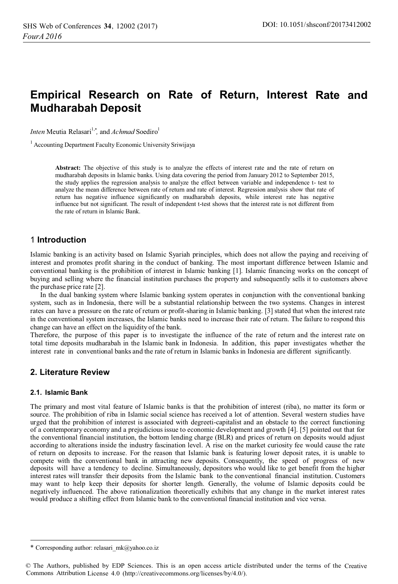# **Empirical Research on Rate of Return, Interest Rate and Mudharabah Deposit**

*Inten* Meutia Relasari<sup>1,\*</sup>, and *Achmad* Soediro<sup>1</sup>

<sup>1</sup> Accounting Department Faculty Economic University Sriwijaya

**Abstract:** The objective of this study is to analyze the effects of interest rate and the rate of return on mudharabah deposits in Islamic banks. Using data covering the period from January 2012 to September 2015, the study applies the regression analysis to analyze the effect between variable and independence t- test to analyze the mean difference between rate of return and rate of interest. Regression analysis show that rate of return has negative influence significantly on mudharabah deposits, while interest rate has negative influence but not significant. The result of independent t-test shows that the interest rate is not different from the rate of return in Islamic Bank.

# 1 **Introduction**

Islamic banking is an activity based on Islamic Syariah principles, which does not allow the paying and receiving of interest and promotes profit sharing in the conduct of banking. The most important difference between Islamic and conventional banking is the prohibition of interest in Islamic banking [1]. Islamic financing works on the concept of buying and selling where the financial institution purchases the property and subsequently sells it to customers above the purchase price rate [2].

In the dual banking system where Islamic banking system operates in conjunction with the conventional banking system, such as in Indonesia, there will be a substantial relationship between the two systems. Changes in interest rates can have a pressure on the rate of return or profit-sharing in Islamic banking. [3] stated that when the interest rate in the conventional system increases, the Islamic banks need to increase their rate of return. The failure to respond this change can have an effect on the liquidity of the bank.

Therefore, the purpose of this paper is to investigate the influence of the rate of return and the interest rate on total time deposits mudharabah in the Islamic bank in Indonesia. In addition, this paper investigates whether the interest rate in conventional banks and the rate of return in Islamic banks in Indonesia are different significantly.

# **2. Literature Review**

### **2.1. Islamic Bank**

-

The primary and most vital feature of Islamic banks is that the prohibition of interest (riba), no matter its form or source. The prohibition of riba in Islamic social science has received a lot of attention. Several western studies have urged that the prohibition of interest is associated with degreeti-capitalist and an obstacle to the correct functioning of a contemporary economy and a prejudicious issue to economic development and growth [4]. [5] pointed out that for the conventional financial institution, the bottom lending charge (BLR) and prices of return on deposits would adjust according to alterations inside the industry fascination level. A rise on the market curiosity fee would cause the rate of return on deposits to increase. For the reason that Islamic bank is featuring lower deposit rates, it is unable to compete with the conventional bank in attracting new deposits. Consequently, the speed of progress of new deposits will have a tendency to decline. Simultaneously, depositors who would like to get benefit from the higher interest rates will transfer their deposits from the Islamic bank to the conventional financial institution. Customers may want to help keep their deposits for shorter length. Generally, the volume of Islamic deposits could be negatively influenced. The above rationalization theoretically exhibits that any change in the market interest rates would produce a shifting effect from Islamic bank to the conventional financial institution and vice versa.

<sup>\*</sup> Corresponding author: relasari\_mk@yahoo.co.iz

<sup>©</sup> The Authors, published by EDP Sciences. This is an open access article distributed under the terms of the Creative Commons Attribution License 4.0 (http://creativecommons.org/licenses/by/4.0/).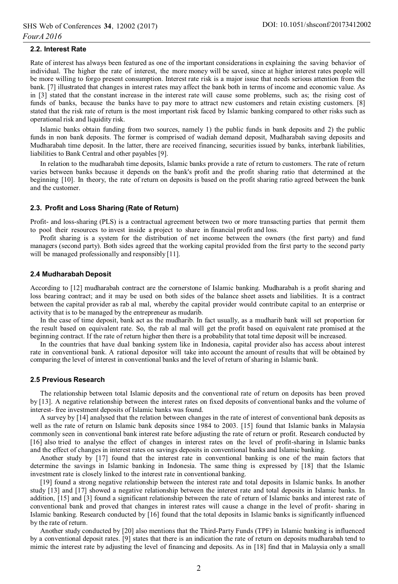#### **2.2. Interest Rate**

Rate of interest has always been featured as one of the important considerations in explaining the saving behavior of individual. The higher the rate of interest, the more money will be saved, since at higher interest rates people will be more willing to forgo present consumption. Interest rate risk is a major issue that needs serious attention from the bank. [7] illustrated that changes in interest rates may affect the bank both in terms of income and economic value. As in [3] stated that the constant increase in the interest rate will cause some problems, such as; the rising cost of funds of banks, because the banks have to pay more to attract new customers and retain existing customers. [8] stated that the risk rate of return is the most important risk faced by Islamic banking compared to other risks such as operational risk and liquidity risk.

Islamic banks obtain funding from two sources, namely 1) the public funds in bank deposits and 2) the public funds in non bank deposits. The former is comprised of wadiah demand deposit, Mudharabah saving deposits and Mudharabah time deposit. In the latter, there are received financing, securities issued by banks, interbank liabilities, liabilities to Bank Central and other payables [9].

In relation to the mudharabah time deposits, Islamic banks provide a rate of return to customers. The rate of return varies between banks because it depends on the bank's profit and the profit sharing ratio that determined at the beginning [10]. In theory, the rate of return on deposits is based on the profit sharing ratio agreed between the bank and the customer.

#### **2.3. Profit and Loss Sharing (Rate of Return)**

Profit- and loss-sharing (PLS) is a contractual agreement between two or more transacting parties that permit them to pool their resources to invest inside a project to share in financial profit and loss.

Profit sharing is a system for the distribution of net income between the owners (the first party) and fund managers (second party). Both sides agreed that the working capital provided from the first party to the second party will be managed professionally and responsibly [11].

#### **2.4 Mudharabah Deposit**

According to [12] mudharabah contract are the cornerstone of Islamic banking. Mudharabah is a profit sharing and loss bearing contract; and it may be used on both sides of the balance sheet assets and liabilities. It is a contract between the capital provider as rab al mal, whereby the capital provider would contribute capital to an enterprise or activity that is to be managed by the entrepreneur as mudarib.

In the case of time deposit, bank act as the mudharib. In fact usually, as a mudharib bank will set proportion for the result based on equivalent rate. So, the rab al mal will get the profit based on equivalent rate promised at the beginning contract. If the rate of return higher then there is a probability that total time deposit will be increased.

In the countries that have dual banking system like in Indonesia, capital provider also has access about interest rate in conventional bank. A rational depositor will take into account the amount of results that will be obtained by comparing the level of interest in conventional banks and the level of return of sharing in Islamic bank.

#### **2.5 Previous Research**

The relationship between total Islamic deposits and the conventional rate of return on deposits has been proved by [13]. A negative relationship between the interest rates on fixed deposits of conventional banks and the volume of interest- free investment deposits of Islamic banks was found.

A survey by [14] analysed that the relation between changes in the rate of interest of conventional bank deposits as well as the rate of return on Islamic bank deposits since 1984 to 2003. [15] found that Islamic banks in Malaysia commonly seen in conventional bank interest rate before adjusting the rate of return or profit. Research conducted by [16] also tried to analyse the effect of changes in interest rates on the level of profit-sharing in Islamic banks and the effect of changes in interest rates on savings deposits in conventional banks and Islamic banking.

Another study by [17] found that the interest rate in conventional banking is one of the main factors that determine the savings in Islamic banking in Indonesia. The same thing is expressed by [18] that the Islamic investment rate is closely linked to the interest rate in conventional banking.

[19] found a strong negative relationship between the interest rate and total deposits in Islamic banks. In another study [13] and [17] showed a negative relationship between the interest rate and total deposits in Islamic banks. In addition, [15] and [3] found a significant relationship between the rate of return of Islamic banks and interest rate of conventional bank and proved that changes in interest rates will cause a change in the level of profit- sharing in Islamic banking. Research conducted by [16] found that the total deposits in Islamic banks is significantly influenced by the rate of return.

Another study conducted by [20] also mentions that the Third-Party Funds (TPF) in Islamic banking is influenced by a conventional deposit rates. [9] states that there is an indication the rate of return on deposits mudharabah tend to mimic the interest rate by adjusting the level of financing and deposits. As in [18] find that in Malaysia only a small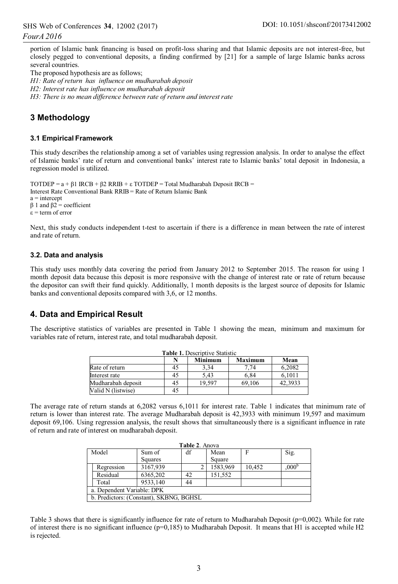portion of Islamic bank financing is based on profit-loss sharing and that Islamic deposits are not interest-free, but closely pegged to conventional deposits, a finding confirmed by [21] for a sample of large Islamic banks across several countries.

The proposed hypothesis are as follows;

*H1: Rate of return has influence on mudharabah deposit H2: Interest rate has influence on mudharabah deposit H3: There is no mean difference between rate of return and interest rate* 

# **3 Methodology**

### **3.1 Empirical Framework**

This study describes the relationship among a set of variables using regression analysis. In order to analyse the effect of Islamic banks' rate of return and conventional banks' interest rate to Islamic banks' total deposit in Indonesia, a regression model is utilized.

```
TOTDEP = a + \beta 1 IRCB + \beta 2 RRIB + \varepsilon TOTDEP = Total Mudharabah Deposit IRCB =
Interest Rate Conventional Bank RRIB = Rate of Return Islamic Bank 
a =intercept
β 1 and β2 = coefficient
ε = term of error
```
Next, this study conducts independent t-test to ascertain if there is a difference in mean between the rate of interest and rate of return.

### **3.2. Data and analysis**

This study uses monthly data covering the period from January 2012 to September 2015. The reason for using 1 month deposit data because this deposit is more responsive with the change of interest rate or rate of return because the depositor can swift their fund quickly. Additionally, 1 month deposits is the largest source of deposits for Islamic banks and conventional deposits compared with 3,6, or 12 months.

### **4. Data and Empirical Result**

The descriptive statistics of variables are presented in Table 1 showing the mean, minimum and maximum for variables rate of return, interest rate, and total mudharabah deposit.

| Table 1. Descriptive Statistic |    |                |         |         |  |  |
|--------------------------------|----|----------------|---------|---------|--|--|
|                                |    | <b>Minimum</b> | Maximum | Mean    |  |  |
| Rate of return                 | 40 | 3.34           | 7.74    | 6.2082  |  |  |
| Interest rate                  | 45 | 5.43           | 6.84    | 6.1011  |  |  |
| Mudharabah deposit             | 45 | 19.597         | 69.106  | 42.3933 |  |  |
| Valid N (listwise)             |    |                |         |         |  |  |

The average rate of return stands at 6,2082 versus 6,1011 for interest rate. Table 1 indicates that minimum rate of return is lower than interest rate. The average Mudharabah deposit is 42,3933 with minimum 19,597 and maximum deposit 69,106. Using regression analysis, the result shows that simultaneously there is a significant influence in rate of return and rate of interest on mudharabah deposit.

|       | Table 2. Anova                          |          |    |          |        |                   |  |  |  |
|-------|-----------------------------------------|----------|----|----------|--------|-------------------|--|--|--|
| Model |                                         | Sum of   | df | Mean     | F      | Sig.              |  |  |  |
|       |                                         | Squares  |    | Square   |        |                   |  |  |  |
|       | Regression                              | 3167,939 |    | 1583,969 | 10.452 | .000 <sup>b</sup> |  |  |  |
|       | Residual                                | 6365,202 | 42 | 151.552  |        |                   |  |  |  |
|       | Total                                   | 9533.140 | 44 |          |        |                   |  |  |  |
|       | a. Dependent Variable: DPK              |          |    |          |        |                   |  |  |  |
|       | b. Predictors: (Constant), SKBNG, BGHSL |          |    |          |        |                   |  |  |  |

Table 3 shows that there is significantly influence for rate of return to Mudharabah Deposit (p=0,002). While for rate of interest there is no significant influence  $(p=0,185)$  to Mudharabah Deposit. It means that H1 is accepted while H2 is rejected.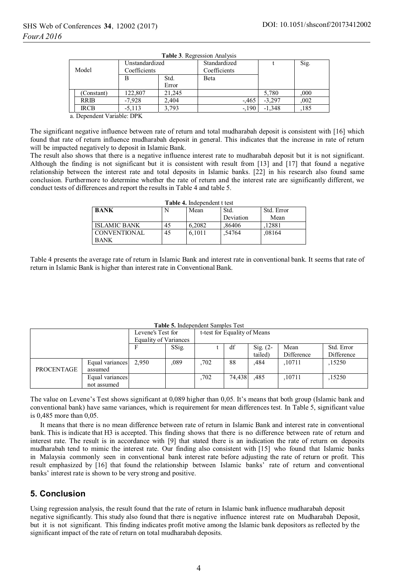|       | <b>Table 5.</b> Regression Analysis |                                |               |                              |          |      |  |  |  |  |
|-------|-------------------------------------|--------------------------------|---------------|------------------------------|----------|------|--|--|--|--|
| Model |                                     | Unstandardized<br>Coefficients |               | Standardized<br>Coefficients |          | Sig. |  |  |  |  |
|       |                                     | B                              | Std.<br>Error | Beta                         |          |      |  |  |  |  |
|       | (Constant)                          | 122.807                        | 21.245        |                              | 5.780    | .000 |  |  |  |  |
|       | <b>RRIB</b>                         | $-7.928$                       | 2.404         | $-465$                       | $-3.297$ | .002 |  |  |  |  |
|       | <b>IRCB</b>                         | $-5.113$                       | 3.793         | $-.190$                      | $-1.348$ | 185  |  |  |  |  |

**Table 3**. Regression Analysis

a. Dependent Variable: DPK

The significant negative influence between rate of return and total mudharabah deposit is consistent with [16] which found that rate of return influence mudharabah deposit in general. This indicates that the increase in rate of return will be impacted negatively to deposit in Islamic Bank.

The result also shows that there is a negative influence interest rate to mudharabah deposit but it is not significant. Although the finding is not significant but it is consistent with result from [13] and [17] that found a negative relationship between the interest rate and total deposits in Islamic banks. [22] in his research also found same conclusion. Furthermore to determine whether the rate of return and the interest rate are significantly different, we conduct tests of differences and report the results in Table 4 and table 5.

| <b>Table 4.</b> Independent t test |    |        |           |            |  |  |  |
|------------------------------------|----|--------|-----------|------------|--|--|--|
| <b>BANK</b>                        |    | Mean   | Std.      | Std. Error |  |  |  |
|                                    |    |        | Deviation | Mean       |  |  |  |
| ISLAMIC BANK                       | 45 | 6.2082 | .86406    | .12881     |  |  |  |
| CONVENTIONAL<br><b>BANK</b>        | 45 | 6.1011 | .54764    | .08164     |  |  |  |

Table 4 presents the average rate of return in Islamic Bank and interest rate in conventional bank. It seems that rate of return in Islamic Bank is higher than interest rate in Conventional Bank.

|            |                 | Levene's Test for     |       | t-test for Equality of Means |        |             |            |            |
|------------|-----------------|-----------------------|-------|------------------------------|--------|-------------|------------|------------|
|            |                 | Equality of Variances |       |                              |        |             |            |            |
|            |                 |                       | SSig. |                              | df     | Sig. $(2 -$ | Mean       | Std. Error |
|            |                 |                       |       |                              |        | tailed)     | Difference | Difference |
|            | Equal variances | 2.950                 | ,089  | .702                         | 88     | .484        | .10711     | .15250     |
| PROCENTAGE | assumed         |                       |       |                              |        |             |            |            |
|            | Equal variances |                       |       | .702                         | 74.438 | .485        | .10711     | .15250     |
|            | not assumed     |                       |       |                              |        |             |            |            |

#### **Table 5.** Independent Samples Test

The value on Levene's Test shows significant at 0,089 higher than 0,05. It's means that both group (Islamic bank and conventional bank) have same variances, which is requirement for mean differences test. In Table 5, significant value is 0,485 more than 0,05.

It means that there is no mean difference between rate of return in Islamic Bank and interest rate in conventional bank. This is indicate that H3 is accepted. This finding shows that there is no difference between rate of return and interest rate. The result is in accordance with [9] that stated there is an indication the rate of return on deposits mudharabah tend to mimic the interest rate. Our finding also consistent with [15] who found that Islamic banks in Malaysia commonly seen in conventional bank interest rate before adjusting the rate of return or profit. This result emphasized by [16] that found the relationship between Islamic banks' rate of return and conventional banks' interest rate is shown to be very strong and positive.

# **5. Conclusion**

Using regression analysis, the result found that the rate of return in Islamic bank influence mudharabah deposit negative significantly. This study also found that there is negative influence interest rate on Mudharabah Deposit, but it is not significant. This finding indicates profit motive among the Islamic bank depositors as reflected by the significant impact of the rate of return on total mudharabah deposits.